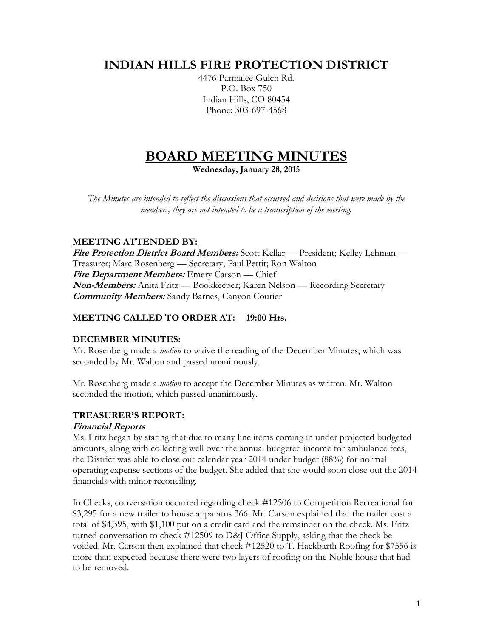# **INDIAN HILLS FIRE PROTECTION DISTRICT**

4476 Parmalee Gulch Rd. P.O. Box 750 Indian Hills, CO 80454 Phone: 303-697-4568

# **BOARD MEETING MINUTES**

**Wednesday, January 28, 2015**

*The Minutes are intended to reflect the discussions that occurred and decisions that were made by the members; they are not intended to be a transcription of the meeting.*

# **MEETING ATTENDED BY:**

**Fire Protection District Board Members:** Scott Kellar — President; Kelley Lehman — Treasurer; Marc Rosenberg — Secretary; Paul Pettit; Ron Walton **Fire Department Members:** Emery Carson — Chief **Non-Members:** Anita Fritz — Bookkeeper; Karen Nelson — Recording Secretary **Community Members:** Sandy Barnes, Canyon Courier

# **MEETING CALLED TO ORDER AT: 19:00 Hrs.**

# **DECEMBER MINUTES:**

Mr. Rosenberg made a *motion* to waive the reading of the December Minutes, which was seconded by Mr. Walton and passed unanimously.

Mr. Rosenberg made a *motion* to accept the December Minutes as written. Mr. Walton seconded the motion, which passed unanimously.

# **TREASURER'S REPORT:**

#### **Financial Reports**

Ms. Fritz began by stating that due to many line items coming in under projected budgeted amounts, along with collecting well over the annual budgeted income for ambulance fees, the District was able to close out calendar year 2014 under budget (88%) for normal operating expense sections of the budget. She added that she would soon close out the 2014 financials with minor reconciling.

In Checks, conversation occurred regarding check #12506 to Competition Recreational for \$3,295 for a new trailer to house apparatus 366. Mr. Carson explained that the trailer cost a total of \$4,395, with \$1,100 put on a credit card and the remainder on the check. Ms. Fritz turned conversation to check #12509 to D&J Office Supply, asking that the check be voided. Mr. Carson then explained that check #12520 to T. Hackbarth Roofing for \$7556 is more than expected because there were two layers of roofing on the Noble house that had to be removed.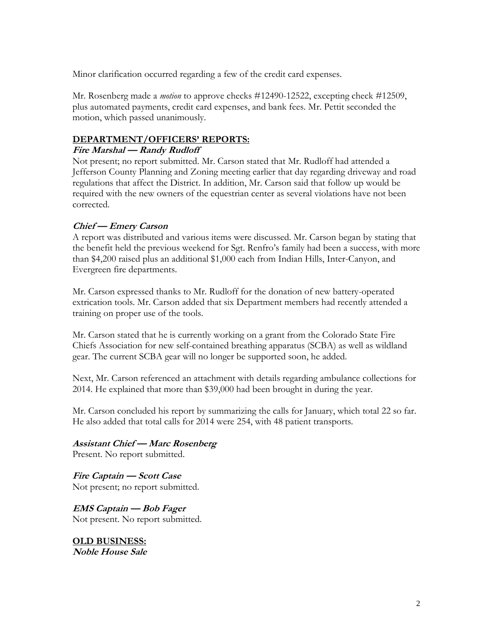Minor clarification occurred regarding a few of the credit card expenses.

Mr. Rosenberg made a *motion* to approve checks #12490-12522, excepting check #12509, plus automated payments, credit card expenses, and bank fees. Mr. Pettit seconded the motion, which passed unanimously.

#### **DEPARTMENT/OFFICERS' REPORTS:**

#### **Fire Marshal — Randy Rudloff**

Not present; no report submitted. Mr. Carson stated that Mr. Rudloff had attended a Jefferson County Planning and Zoning meeting earlier that day regarding driveway and road regulations that affect the District. In addition, Mr. Carson said that follow up would be required with the new owners of the equestrian center as several violations have not been corrected.

#### **Chief — Emery Carson**

A report was distributed and various items were discussed. Mr. Carson began by stating that the benefit held the previous weekend for Sgt. Renfro's family had been a success, with more than \$4,200 raised plus an additional \$1,000 each from Indian Hills, Inter-Canyon, and Evergreen fire departments.

Mr. Carson expressed thanks to Mr. Rudloff for the donation of new battery-operated extrication tools. Mr. Carson added that six Department members had recently attended a training on proper use of the tools.

Mr. Carson stated that he is currently working on a grant from the Colorado State Fire Chiefs Association for new self-contained breathing apparatus (SCBA) as well as wildland gear. The current SCBA gear will no longer be supported soon, he added.

Next, Mr. Carson referenced an attachment with details regarding ambulance collections for 2014. He explained that more than \$39,000 had been brought in during the year.

Mr. Carson concluded his report by summarizing the calls for January, which total 22 so far. He also added that total calls for 2014 were 254, with 48 patient transports.

**Assistant Chief — Marc Rosenberg** Present. No report submitted.

**Fire Captain — Scott Case** Not present; no report submitted.

**EMS Captain — Bob Fager** Not present. No report submitted.

**OLD BUSINESS: Noble House Sale**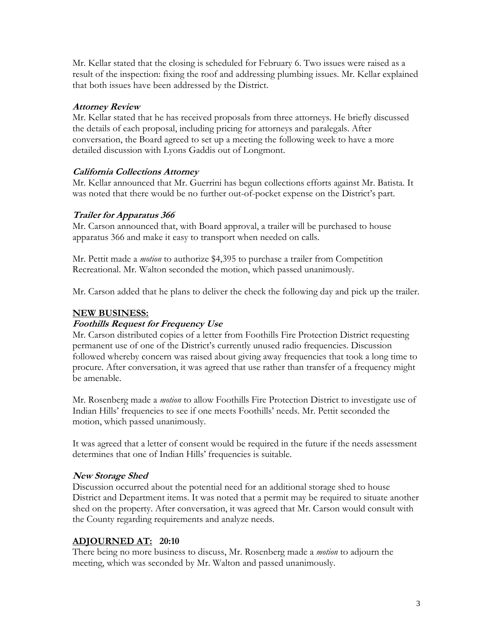Mr. Kellar stated that the closing is scheduled for February 6. Two issues were raised as a result of the inspection: fixing the roof and addressing plumbing issues. Mr. Kellar explained that both issues have been addressed by the District.

#### **Attorney Review**

Mr. Kellar stated that he has received proposals from three attorneys. He briefly discussed the details of each proposal, including pricing for attorneys and paralegals. After conversation, the Board agreed to set up a meeting the following week to have a more detailed discussion with Lyons Gaddis out of Longmont.

# **California Collections Attorney**

Mr. Kellar announced that Mr. Guerrini has begun collections efforts against Mr. Batista. It was noted that there would be no further out-of-pocket expense on the District's part.

# **Trailer for Apparatus 366**

Mr. Carson announced that, with Board approval, a trailer will be purchased to house apparatus 366 and make it easy to transport when needed on calls.

Mr. Pettit made a *motion* to authorize \$4,395 to purchase a trailer from Competition Recreational. Mr. Walton seconded the motion, which passed unanimously.

Mr. Carson added that he plans to deliver the check the following day and pick up the trailer.

# **NEW BUSINESS:**

### **Foothills Request for Frequency Use**

Mr. Carson distributed copies of a letter from Foothills Fire Protection District requesting permanent use of one of the District's currently unused radio frequencies. Discussion followed whereby concern was raised about giving away frequencies that took a long time to procure. After conversation, it was agreed that use rather than transfer of a frequency might be amenable.

Mr. Rosenberg made a *motion* to allow Foothills Fire Protection District to investigate use of Indian Hills' frequencies to see if one meets Foothills' needs. Mr. Pettit seconded the motion, which passed unanimously.

It was agreed that a letter of consent would be required in the future if the needs assessment determines that one of Indian Hills' frequencies is suitable.

#### **New Storage Shed**

Discussion occurred about the potential need for an additional storage shed to house District and Department items. It was noted that a permit may be required to situate another shed on the property. After conversation, it was agreed that Mr. Carson would consult with the County regarding requirements and analyze needs.

# **ADJOURNED AT: 20:10**

There being no more business to discuss, Mr. Rosenberg made a *motion* to adjourn the meeting, which was seconded by Mr. Walton and passed unanimously.